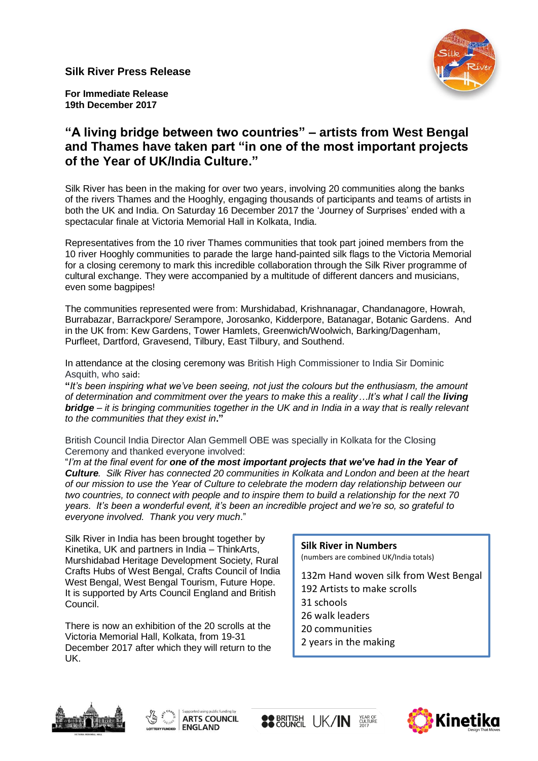**Silk River Press Release**



**For Immediate Release 19th December 2017**

# **"A living bridge between two countries" – artists from West Bengal and Thames have taken part "in one of the most important projects of the Year of UK/India Culture."**

Silk River has been in the making for over two years, involving 20 communities along the banks of the rivers Thames and the Hooghly, engaging thousands of participants and teams of artists in both the UK and India. On Saturday 16 December 2017 the 'Journey of Surprises' ended with a spectacular finale at Victoria Memorial Hall in Kolkata, India.

Representatives from the 10 river Thames communities that took part joined members from the 10 river Hooghly communities to parade the large hand-painted silk flags to the Victoria Memorial for a closing ceremony to mark this incredible collaboration through the Silk River programme of cultural exchange. They were accompanied by a multitude of different dancers and musicians, even some bagpipes!

The communities represented were from: Murshidabad, Krishnanagar, Chandanagore, Howrah, Burrabazar, Barrackpore/ Serampore, Jorosanko, Kidderpore, Batanagar, Botanic Gardens. And in the UK from: Kew Gardens, Tower Hamlets, Greenwich/Woolwich, Barking/Dagenham, Purfleet, Dartford, Gravesend, Tilbury, East Tilbury, and Southend.

In attendance at the closing ceremony was British High Commissioner to India Sir Dominic Asquith, who said:

**"***It's been inspiring what we've been seeing, not just the colours but the enthusiasm, the amount of determination and commitment over the years to make this a reality...It's what I call the living bridge – it is bringing communities together in the UK and in India in a way that is really relevant to the communities that they exist in***."**

British Council India Director Alan Gemmell OBE was specially in Kolkata for the Closing Ceremony and thanked everyone involved:

"*I'm at the final event for one of the most important projects that we've had in the Year of Culture. Silk River has connected 20 communities in Kolkata and London and been at the heart of our mission to use the Year of Culture to celebrate the modern day relationship between our two countries, to connect with people and to inspire them to build a relationship for the next 70 years. It's been a wonderful event, it's been an incredible project and we're so, so grateful to everyone involved. Thank you very much*."

Silk River in India has been brought together by Kinetika, UK and partners in India – ThinkArts, Murshidabad Heritage Development Society, Rural Crafts Hubs of West Bengal, Crafts Council of India West Bengal, West Bengal Tourism, Future Hope. It is supported by Arts Council England and British Council.

There is now an exhibition of the 20 scrolls at the Victoria Memorial Hall, Kolkata, from 19-31 December 2017 after which they will return to the UK.

### **Silk River in Numbers**

(numbers are combined UK/India totals)

132m Hand woven silk from West Bengal 192 Artists to make scrolls 31 schools 26 walk leaders 20 communities 2 years in the making





**SO BRITISH UK/IN SEAR OF** 

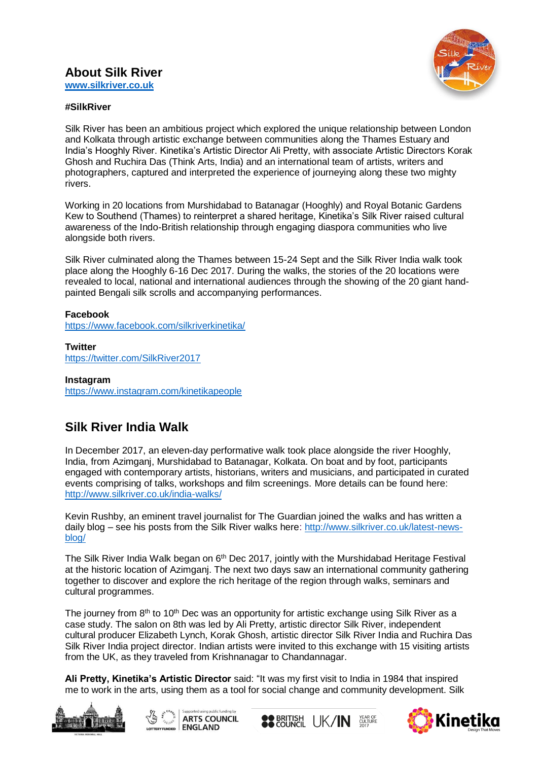## **About Silk River**



**[www.silkriver.co.uk](http://www.silkriver.co.uk/)**

#### **#SilkRiver**

Silk River has been an ambitious project which explored the unique relationship between London and Kolkata through artistic exchange between communities along the Thames Estuary and India's Hooghly River. Kinetika's Artistic Director Ali Pretty, with associate Artistic Directors Korak Ghosh and Ruchira Das (Think Arts, India) and an international team of artists, writers and photographers, captured and interpreted the experience of journeying along these two mighty rivers.

Working in 20 locations from Murshidabad to Batanagar (Hooghly) and Royal Botanic Gardens Kew to Southend (Thames) to reinterpret a shared heritage, Kinetika's Silk River raised cultural awareness of the Indo-British relationship through engaging diaspora communities who live alongside both rivers.

Silk River culminated along the Thames between 15-24 Sept and the Silk River India walk took place along the Hooghly 6-16 Dec 2017. During the walks, the stories of the 20 locations were revealed to local, national and international audiences through the showing of the 20 giant handpainted Bengali silk scrolls and accompanying performances.

#### **Facebook**

<https://www.facebook.com/silkriverkinetika/>

**Twitter** <https://twitter.com/SilkRiver2017>

**Instagram** <https://www.instagram.com/kinetikapeople>

# **Silk River India Walk**

In December 2017, an eleven-day performative walk took place alongside the river Hooghly, India, from Azimganj, Murshidabad to Batanagar, Kolkata. On boat and by foot, participants engaged with contemporary artists, historians, writers and musicians, and participated in curated events comprising of talks, workshops and film screenings. More details can be found here: <http://www.silkriver.co.uk/india-walks/>

Kevin Rushby, an eminent travel journalist for The Guardian joined the walks and has written a daily blog – see his posts from the Silk River walks here: [http://www.silkriver.co.uk/latest-news](http://www.silkriver.co.uk/latest-news-blog/)[blog/](http://www.silkriver.co.uk/latest-news-blog/)

The Silk River India Walk began on 6<sup>th</sup> Dec 2017, jointly with the Murshidabad Heritage Festival at the historic location of Azimganj. The next two days saw an international community gathering together to discover and explore the rich heritage of the region through walks, seminars and cultural programmes.

The journey from  $8<sup>th</sup>$  to 10<sup>th</sup> Dec was an opportunity for artistic exchange using Silk River as a case study. The salon on 8th was led by Ali Pretty, artistic director Silk River, independent cultural producer Elizabeth Lynch, Korak Ghosh, artistic director Silk River India and Ruchira Das Silk River India project director. Indian artists were invited to this exchange with 15 visiting artists from the UK, as they traveled from Krishnanagar to Chandannagar.

**Ali Pretty, Kinetika's Artistic Director** said: "It was my first visit to India in 1984 that inspired me to work in the arts, using them as a tool for social change and community development. Silk